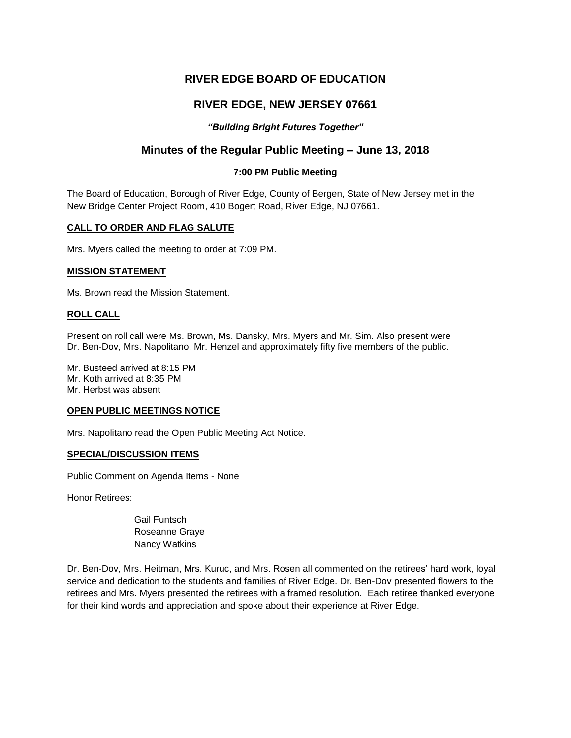# **RIVER EDGE BOARD OF EDUCATION**

# **RIVER EDGE, NEW JERSEY 07661**

# *"Building Bright Futures Together"*

# **Minutes of the Regular Public Meeting – June 13, 2018**

## **7:00 PM Public Meeting**

The Board of Education, Borough of River Edge, County of Bergen, State of New Jersey met in the New Bridge Center Project Room, 410 Bogert Road, River Edge, NJ 07661.

### **CALL TO ORDER AND FLAG SALUTE**

Mrs. Myers called the meeting to order at 7:09 PM.

#### **MISSION STATEMENT**

Ms. Brown read the Mission Statement.

#### **ROLL CALL**

Present on roll call were Ms. Brown, Ms. Dansky, Mrs. Myers and Mr. Sim. Also present were Dr. Ben-Dov, Mrs. Napolitano, Mr. Henzel and approximately fifty five members of the public.

Mr. Busteed arrived at 8:15 PM Mr. Koth arrived at 8:35 PM Mr. Herbst was absent

#### **OPEN PUBLIC MEETINGS NOTICE**

Mrs. Napolitano read the Open Public Meeting Act Notice.

#### **SPECIAL/DISCUSSION ITEMS**

Public Comment on Agenda Items - None

Honor Retirees:

Gail Funtsch Roseanne Graye Nancy Watkins

Dr. Ben-Dov, Mrs. Heitman, Mrs. Kuruc, and Mrs. Rosen all commented on the retirees' hard work, loyal service and dedication to the students and families of River Edge. Dr. Ben-Dov presented flowers to the retirees and Mrs. Myers presented the retirees with a framed resolution*.* Each retiree thanked everyone for their kind words and appreciation and spoke about their experience at River Edge.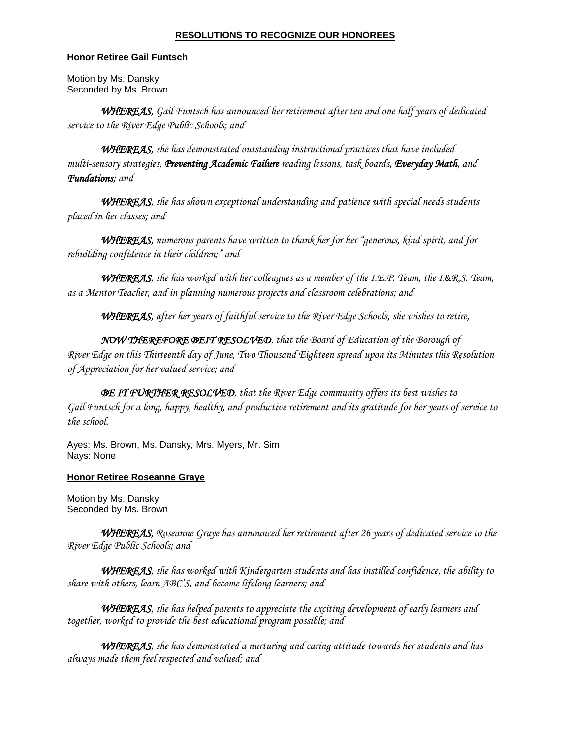#### **RESOLUTIONS TO RECOGNIZE OUR HONOREES**

#### **Honor Retiree Gail Funtsch**

Motion by Ms. Dansky Seconded by Ms. Brown

*WHEREAS, Gail Funtsch has announced her retirement after ten and one half years of dedicated service to the River Edge Public Schools; and*

*WHEREAS, she has demonstrated outstanding instructional practices that have included multi-sensory strategies, Preventing Academic Failure reading lessons, task boards, Everyday Math, and Fundations; and*

*WHEREAS, she has shown exceptional understanding and patience with special needs students placed in her classes; and*

*WHEREAS, numerous parents have written to thank her for her "generous, kind spirit, and for rebuilding confidence in their children;" and*

*WHEREAS, she has worked with her colleagues as a member of the I.E.P. Team, the I.*&*R.S. Team, as a Mentor Teacher, and in planning numerous projects and classroom celebrations; and*

*WHEREAS, after her years of faithful service to the River Edge Schools, she wishes to retire,* 

*NOW THEREFORE BEIT RESOLVED, that the Board of Education of the Borough of River Edge on this Thirteenth day of June, Two Thousand Eighteen spread upon its Minutes this Resolution of Appreciation for her valued service; and*

*BE IT FURTHER RESOLVED, that the River Edge community offers its best wishes to Gail Funtsch for a long, happy, healthy, and productive retirement and its gratitude for her years of service to the school.* 

Ayes: Ms. Brown, Ms. Dansky, Mrs. Myers, Mr. Sim Nays: None

### **Honor Retiree Roseanne Graye**

Motion by Ms. Dansky Seconded by Ms. Brown

*WHEREAS, Roseanne Graye has announced her retirement after 26 years of dedicated service to the River Edge Public Schools; and*

*WHEREAS, she has worked with Kindergarten students and has instilled confidence, the ability to share with others, learn ABC'S, and become lifelong learners; and*

*WHEREAS, she has helped parents to appreciate the exciting development of early learners and together, worked to provide the best educational program possible; and* 

*WHEREAS, she has demonstrated a nurturing and caring attitude towards her students and has always made them feel respected and valued; and*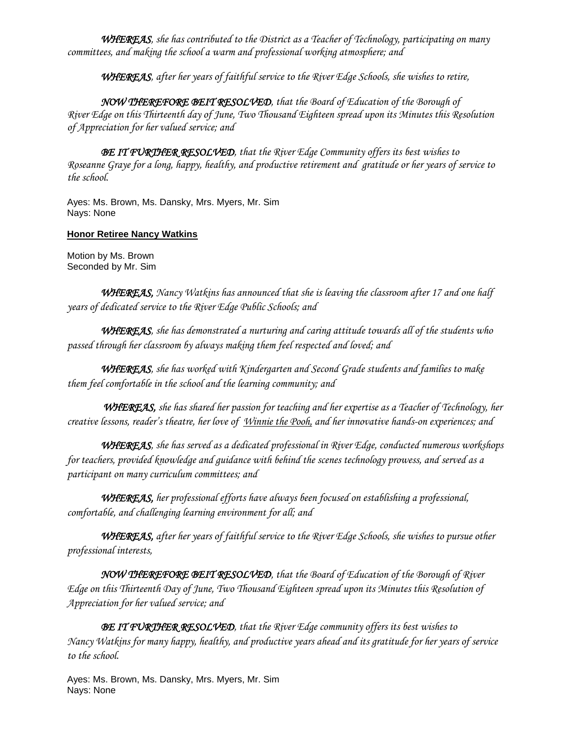*WHEREAS, she has contributed to the District as a Teacher of Technology, participating on many committees, and making the school a warm and professional working atmosphere; and*

*WHEREAS, after her years of faithful service to the River Edge Schools, she wishes to retire,*

*NOW THEREFORE BEIT RESOLVED, that the Board of Education of the Borough of River Edge on this Thirteenth day of June, Two Thousand Eighteen spread upon its Minutes this Resolution of Appreciation for her valued service; and*

*BE IT FURTHER RESOLVED, that the River Edge Community offers its best wishes to Roseanne Graye for a long, happy, healthy, and productive retirement and gratitude or her years of service to the school.* 

Ayes: Ms. Brown, Ms. Dansky, Mrs. Myers, Mr. Sim Nays: None

## **Honor Retiree Nancy Watkins**

Motion by Ms. Brown Seconded by Mr. Sim

*WHEREAS, Nancy Watkins has announced that she is leaving the classroom after 17 and one half years of dedicated service to the River Edge Public Schools; and*

*WHEREAS, she has demonstrated a nurturing and caring attitude towards all of the students who passed through her classroom by always making them feel respected and loved; and*

*WHEREAS, she has worked with Kindergarten and Second Grade students and families to make them feel comfortable in the school and the learning community; and*

*WHEREAS, she has shared her passion for teaching and her expertise as a Teacher of Technology, her creative lessons, reader's theatre, her love of Winnie the Pooh, and her innovative hands-on experiences; and* 

*WHEREAS, she has served as a dedicated professional in River Edge, conducted numerous workshops for teachers, provided knowledge and guidance with behind the scenes technology prowess, and served as a participant on many curriculum committees; and*

*WHEREAS, her professional efforts have always been focused on establishing a professional, comfortable, and challenging learning environment for all; and*

*WHEREAS, after her years of faithful service to the River Edge Schools, she wishes to pursue other professional interests,* 

*NOW THEREFORE BEIT RESOLVED, that the Board of Education of the Borough of River Edge on this Thirteenth Day of June, Two Thousand Eighteen spread upon its Minutes this Resolution of Appreciation for her valued service; and*

*BE IT FURTHER RESOLVED, that the River Edge community offers its best wishes to Nancy Watkins for many happy, healthy, and productive years ahead and its gratitude for her years of service to the school.* 

Ayes: Ms. Brown, Ms. Dansky, Mrs. Myers, Mr. Sim Nays: None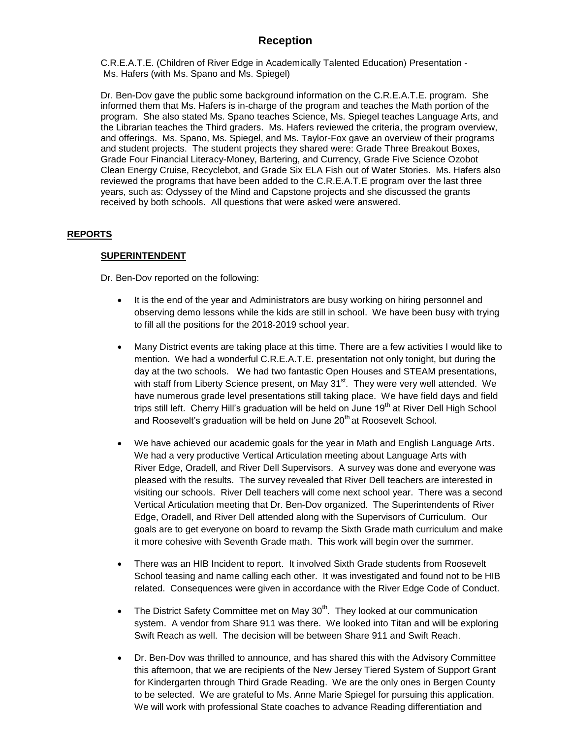# **Reception**

C.R.E.A.T.E. (Children of River Edge in Academically Talented Education) Presentation - Ms. Hafers (with Ms. Spano and Ms. Spiegel)

Dr. Ben-Dov gave the public some background information on the C.R.E.A.T.E. program. She informed them that Ms. Hafers is in-charge of the program and teaches the Math portion of the program. She also stated Ms. Spano teaches Science, Ms. Spiegel teaches Language Arts, and the Librarian teaches the Third graders. Ms. Hafers reviewed the criteria, the program overview, and offerings. Ms. Spano, Ms. Spiegel, and Ms. Taylor-Fox gave an overview of their programs and student projects. The student projects they shared were: Grade Three Breakout Boxes, Grade Four Financial Literacy-Money, Bartering, and Currency, Grade Five Science Ozobot Clean Energy Cruise, Recyclebot, and Grade Six ELA Fish out of Water Stories. Ms. Hafers also reviewed the programs that have been added to the C.R.E.A.T.E program over the last three years, such as: Odyssey of the Mind and Capstone projects and she discussed the grants received by both schools. All questions that were asked were answered.

### **REPORTS**

### **SUPERINTENDENT**

Dr. Ben-Dov reported on the following:

- It is the end of the year and Administrators are busy working on hiring personnel and observing demo lessons while the kids are still in school. We have been busy with trying to fill all the positions for the 2018-2019 school year.
- Many District events are taking place at this time. There are a few activities I would like to mention. We had a wonderful C.R.E.A.T.E. presentation not only tonight, but during the day at the two schools. We had two fantastic Open Houses and STEAM presentations, with staff from Liberty Science present, on May 31<sup>st</sup>. They were very well attended. We have numerous grade level presentations still taking place. We have field days and field trips still left. Cherry Hill's graduation will be held on June 19<sup>th</sup> at River Dell High School and Roosevelt's graduation will be held on June 20<sup>th</sup> at Roosevelt School.
- We have achieved our academic goals for the year in Math and English Language Arts. We had a very productive Vertical Articulation meeting about Language Arts with River Edge, Oradell, and River Dell Supervisors. A survey was done and everyone was pleased with the results. The survey revealed that River Dell teachers are interested in visiting our schools. River Dell teachers will come next school year. There was a second Vertical Articulation meeting that Dr. Ben-Dov organized. The Superintendents of River Edge, Oradell, and River Dell attended along with the Supervisors of Curriculum. Our goals are to get everyone on board to revamp the Sixth Grade math curriculum and make it more cohesive with Seventh Grade math. This work will begin over the summer.
- There was an HIB Incident to report. It involved Sixth Grade students from Roosevelt School teasing and name calling each other. It was investigated and found not to be HIB related. Consequences were given in accordance with the River Edge Code of Conduct.
- The District Safety Committee met on May  $30<sup>th</sup>$ . They looked at our communication system. A vendor from Share 911 was there. We looked into Titan and will be exploring Swift Reach as well. The decision will be between Share 911 and Swift Reach.
- Dr. Ben-Dov was thrilled to announce, and has shared this with the Advisory Committee this afternoon, that we are recipients of the New Jersey Tiered System of Support Grant for Kindergarten through Third Grade Reading. We are the only ones in Bergen County to be selected. We are grateful to Ms. Anne Marie Spiegel for pursuing this application. We will work with professional State coaches to advance Reading differentiation and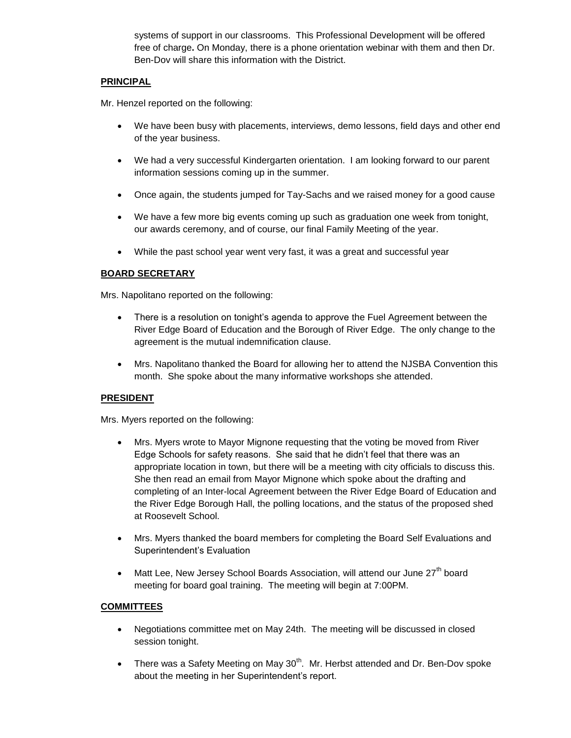systems of support in our classrooms. This Professional Development will be offered free of charge**.** On Monday, there is a phone orientation webinar with them and then Dr. Ben-Dov will share this information with the District.

#### **PRINCIPAL**

Mr. Henzel reported on the following:

- We have been busy with placements, interviews, demo lessons, field days and other end of the year business.
- We had a very successful Kindergarten orientation. I am looking forward to our parent information sessions coming up in the summer.
- Once again, the students jumped for Tay-Sachs and we raised money for a good cause
- We have a few more big events coming up such as graduation one week from tonight, our awards ceremony, and of course, our final Family Meeting of the year.
- While the past school year went very fast, it was a great and successful year

### **BOARD SECRETARY**

Mrs. Napolitano reported on the following:

- There is a resolution on tonight's agenda to approve the Fuel Agreement between the River Edge Board of Education and the Borough of River Edge. The only change to the agreement is the mutual indemnification clause.
- Mrs. Napolitano thanked the Board for allowing her to attend the NJSBA Convention this month. She spoke about the many informative workshops she attended.

### **PRESIDENT**

Mrs. Myers reported on the following:

- Mrs. Myers wrote to Mayor Mignone requesting that the voting be moved from River Edge Schools for safety reasons. She said that he didn't feel that there was an appropriate location in town, but there will be a meeting with city officials to discuss this. She then read an email from Mayor Mignone which spoke about the drafting and completing of an Inter-local Agreement between the River Edge Board of Education and the River Edge Borough Hall, the polling locations, and the status of the proposed shed at Roosevelt School.
- Mrs. Myers thanked the board members for completing the Board Self Evaluations and Superintendent's Evaluation
- Matt Lee, New Jersey School Boards Association, will attend our June 27<sup>th</sup> board meeting for board goal training. The meeting will begin at 7:00PM.

### **COMMITTEES**

- Negotiations committee met on May 24th. The meeting will be discussed in closed session tonight.
- There was a Safety Meeting on May  $30<sup>th</sup>$ . Mr. Herbst attended and Dr. Ben-Dov spoke about the meeting in her Superintendent's report.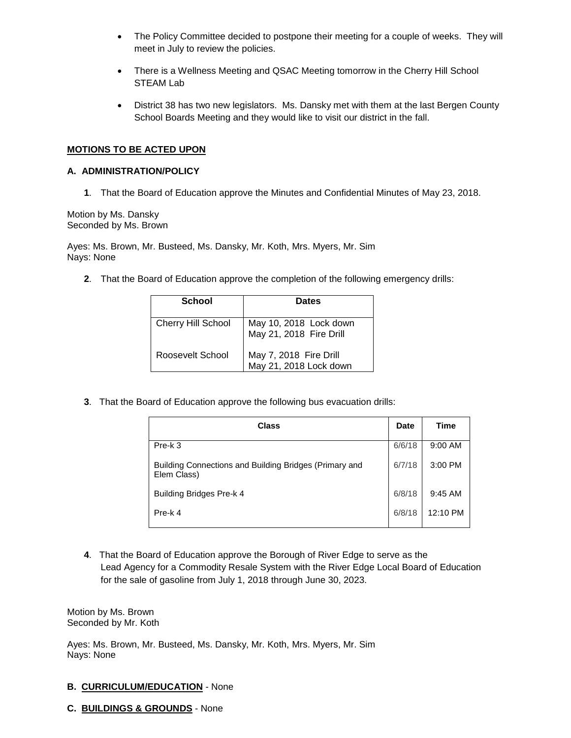- The Policy Committee decided to postpone their meeting for a couple of weeks. They will meet in July to review the policies.
- There is a Wellness Meeting and QSAC Meeting tomorrow in the Cherry Hill School STEAM Lab
- District 38 has two new legislators. Ms. Dansky met with them at the last Bergen County School Boards Meeting and they would like to visit our district in the fall.

#### **MOTIONS TO BE ACTED UPON**

#### **A. ADMINISTRATION/POLICY**

**1**. That the Board of Education approve the Minutes and Confidential Minutes of May 23, 2018.

Motion by Ms. Dansky Seconded by Ms. Brown

Ayes: Ms. Brown, Mr. Busteed, Ms. Dansky, Mr. Koth, Mrs. Myers, Mr. Sim Nays: None

**2**. That the Board of Education approve the completion of the following emergency drills:

| School                    | <b>Dates</b>                                      |
|---------------------------|---------------------------------------------------|
| <b>Cherry Hill School</b> | May 10, 2018 Lock down<br>May 21, 2018 Fire Drill |
| Roosevelt School          | May 7, 2018 Fire Drill<br>May 21, 2018 Lock down  |

**3**. That the Board of Education approve the following bus evacuation drills:

| <b>Class</b>                                                          | Date   | <b>Time</b> |
|-----------------------------------------------------------------------|--------|-------------|
| Pre-k 3                                                               | 6/6/18 | 9:00 AM     |
| Building Connections and Building Bridges (Primary and<br>Elem Class) | 6/7/18 | 3:00 PM     |
| Building Bridges Pre-k 4                                              | 6/8/18 | $9:45$ AM   |
| Pre-k 4                                                               | 6/8/18 | 12:10 PM    |

**4**. That the Board of Education approve the Borough of River Edge to serve as the Lead Agency for a Commodity Resale System with the River Edge Local Board of Education for the sale of gasoline from July 1, 2018 through June 30, 2023.

Motion by Ms. Brown Seconded by Mr. Koth

Ayes: Ms. Brown, Mr. Busteed, Ms. Dansky, Mr. Koth, Mrs. Myers, Mr. Sim Nays: None

- **B. CURRICULUM/EDUCATION** None
- **C. BUILDINGS & GROUNDS** None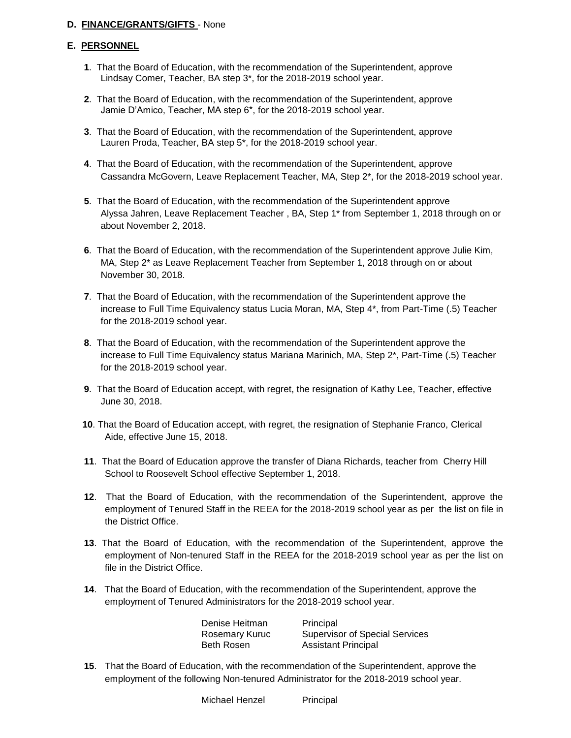### **D. FINANCE/GRANTS/GIFTS** - None

#### **E. PERSONNEL**

- **1**. That the Board of Education, with the recommendation of the Superintendent, approve Lindsay Comer, Teacher, BA step 3\*, for the 2018-2019 school year.
- **2**. That the Board of Education, with the recommendation of the Superintendent, approve Jamie D'Amico, Teacher, MA step 6\*, for the 2018-2019 school year.
- **3**. That the Board of Education, with the recommendation of the Superintendent, approve Lauren Proda, Teacher, BA step 5\*, for the 2018-2019 school year.
- **4**. That the Board of Education, with the recommendation of the Superintendent, approve Cassandra McGovern, Leave Replacement Teacher, MA, Step 2\*, for the 2018-2019 school year.
- **5**. That the Board of Education, with the recommendation of the Superintendent approve Alyssa Jahren, Leave Replacement Teacher , BA, Step 1\* from September 1, 2018 through on or about November 2, 2018.
- **6**. That the Board of Education, with the recommendation of the Superintendent approve Julie Kim, MA, Step 2\* as Leave Replacement Teacher from September 1, 2018 through on or about November 30, 2018.
- **7**. That the Board of Education, with the recommendation of the Superintendent approve the increase to Full Time Equivalency status Lucia Moran, MA, Step 4\*, from Part-Time (.5) Teacher for the 2018-2019 school year.
- **8**. That the Board of Education, with the recommendation of the Superintendent approve the increase to Full Time Equivalency status Mariana Marinich, MA, Step 2\*, Part-Time (.5) Teacher for the 2018-2019 school year.
- **9**. That the Board of Education accept, with regret, the resignation of Kathy Lee, Teacher, effective June 30, 2018.
- **10**. That the Board of Education accept, with regret, the resignation of Stephanie Franco, Clerical Aide, effective June 15, 2018.
- **11**. That the Board of Education approve the transfer of Diana Richards, teacher from Cherry Hill School to Roosevelt School effective September 1, 2018.
- **12**. That the Board of Education, with the recommendation of the Superintendent, approve the employment of Tenured Staff in the REEA for the 2018-2019 school year as per the list on file in the District Office.
- **13**. That the Board of Education, with the recommendation of the Superintendent, approve the employment of Non-tenured Staff in the REEA for the 2018-2019 school year as per the list on file in the District Office.
- **14**. That the Board of Education, with the recommendation of the Superintendent, approve the employment of Tenured Administrators for the 2018-2019 school year.

| Denise Heitman        | Principal |
|-----------------------|-----------|
| <b>Rosemary Kuruc</b> | Supervis  |
| Beth Rosen            | Assistant |

Rosemary Kuruc Supervisor of Special Services **Assistant Principal** 

**15**. That the Board of Education, with the recommendation of the Superintendent, approve the employment of the following Non-tenured Administrator for the 2018-2019 school year.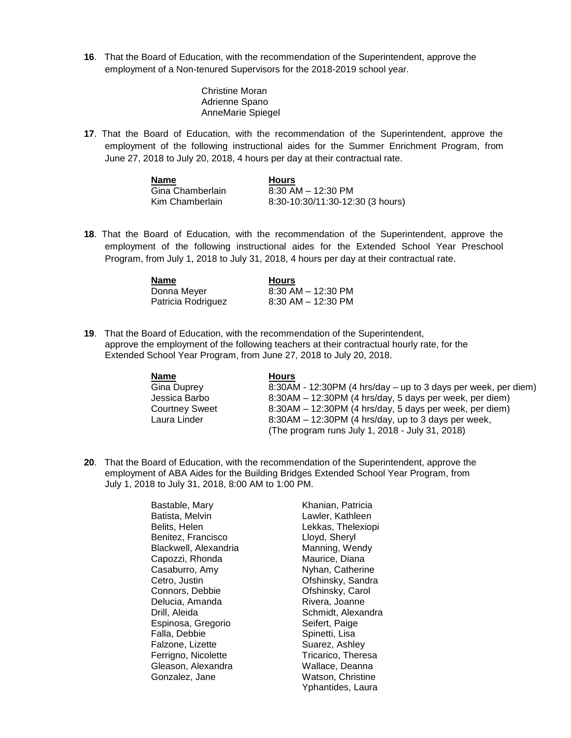**16**. That the Board of Education, with the recommendation of the Superintendent, approve the employment of a Non-tenured Supervisors for the 2018-2019 school year.

> Christine Moran Adrienne Spano AnneMarie Spiegel

**17**. That the Board of Education, with the recommendation of the Superintendent, approve the employment of the following instructional aides for the Summer Enrichment Program, from June 27, 2018 to July 20, 2018, 4 hours per day at their contractual rate.

| Name             | <b>Hours</b>                     |
|------------------|----------------------------------|
| Gina Chamberlain | $8:30$ AM $-$ 12:30 PM           |
| Kim Chamberlain  | 8:30-10:30/11:30-12:30 (3 hours) |

**18**. That the Board of Education, with the recommendation of the Superintendent, approve the employment of the following instructional aides for the Extended School Year Preschool Program, from July 1, 2018 to July 31, 2018, 4 hours per day at their contractual rate.

| Name               | <b>Hours</b>           |
|--------------------|------------------------|
| Donna Meyer        | $8:30$ AM $-$ 12:30 PM |
| Patricia Rodriguez | $8:30$ AM $-$ 12:30 PM |

**19**. That the Board of Education, with the recommendation of the Superintendent, approve the employment of the following teachers at their contractual hourly rate, for the Extended School Year Program, from June 27, 2018 to July 20, 2018.

| <b>Name</b>           | <b>Hours</b>                                                   |
|-----------------------|----------------------------------------------------------------|
| Gina Duprey           | 8:30AM - 12:30PM (4 hrs/day – up to 3 days per week, per diem) |
| Jessica Barbo         | 8:30AM – 12:30PM (4 hrs/day, 5 days per week, per diem)        |
| <b>Courtney Sweet</b> | 8:30AM – 12:30PM (4 hrs/day, 5 days per week, per diem)        |
| Laura Linder          | $8:30AM - 12:30PM$ (4 hrs/day, up to 3 days per week,          |
|                       | (The program runs July 1, 2018 - July 31, 2018)                |

**20**. That the Board of Education, with the recommendation of the Superintendent, approve the employment of ABA Aides for the Building Bridges Extended School Year Program, from July 1, 2018 to July 31, 2018, 8:00 AM to 1:00 PM.

> Bastable, Mary **Khanian, Patricia** Batista, Melvin **Lawler**, Kathleen Belits, Helen Lekkas, Thelexiopi Benitez, Francisco Lloyd, Sheryl Blackwell, Alexandria Manning, Wendy Capozzi, Rhonda Maurice, Diana Casaburro, Amy Nyhan, Catherine Cetro, Justin Ofshinsky, Sandra Connors, Debbie **Ofshinsky, Carol** Delucia, Amanda Rivera, Joanne Drill, Aleida Schmidt, Alexandra Espinosa, Gregorio Seifert, Paige Falla, Debbie **Spinetti**, Lisa Falzone, Lizette Suarez, Ashley Ferrigno, Nicolette Tricarico, Theresa Gleason, Alexandra **Wallace**, Deanna Gonzalez, Jane Watson, Christine

Yphantides, Laura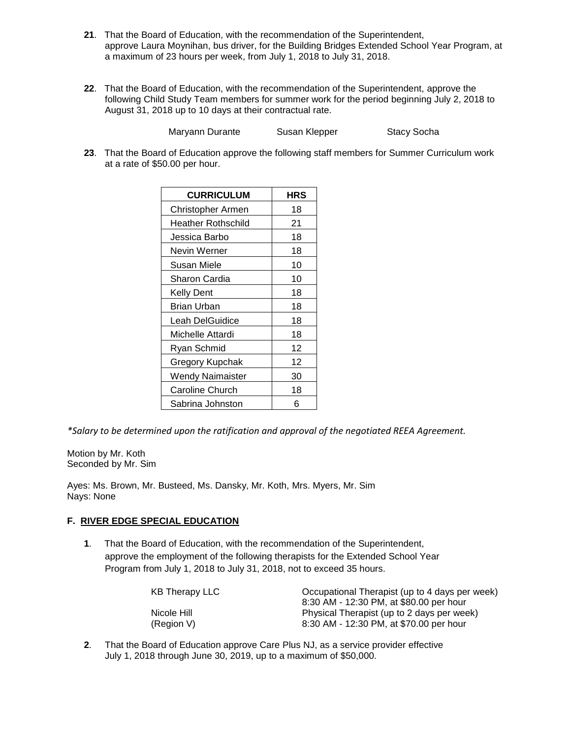- **21**. That the Board of Education, with the recommendation of the Superintendent, approve Laura Moynihan, bus driver, for the Building Bridges Extended School Year Program, at a maximum of 23 hours per week, from July 1, 2018 to July 31, 2018.
- **22**. That the Board of Education, with the recommendation of the Superintendent, approve the following Child Study Team members for summer work for the period beginning July 2, 2018 to August 31, 2018 up to 10 days at their contractual rate.

**Maryann Durante Susan Klepper Stacy Socha** 

**23**. That the Board of Education approve the following staff members for Summer Curriculum work at a rate of \$50.00 per hour.

| <b>CURRICULUM</b>       | <b>HRS</b> |
|-------------------------|------------|
| Christopher Armen       | 18         |
| Heather Rothschild      | 21         |
| Jessica Barbo           | 18         |
| Nevin Werner            | 18         |
| <b>Susan Miele</b>      | 10         |
| Sharon Cardia           | 10         |
| <b>Kelly Dent</b>       | 18         |
| Brian Urban             | 18         |
| Leah DelGuidice         | 18         |
| Michelle Attardi        | 18         |
| Ryan Schmid             | 12         |
| Gregory Kupchak         | 12         |
| <b>Wendy Naimaister</b> | 30         |
| <b>Caroline Church</b>  | 18         |
| Sabrina Johnston        | ี่ค        |

*\*Salary to be determined upon the ratification and approval of the negotiated REEA Agreement.*

Motion by Mr. Koth Seconded by Mr. Sim

Ayes: Ms. Brown, Mr. Busteed, Ms. Dansky, Mr. Koth, Mrs. Myers, Mr. Sim Nays: None

### **F. RIVER EDGE SPECIAL EDUCATION**

**1**. That the Board of Education, with the recommendation of the Superintendent, approve the employment of the following therapists for the Extended School Year Program from July 1, 2018 to July 31, 2018, not to exceed 35 hours.

| Occupational Therapist (up to 4 days per week) |  |
|------------------------------------------------|--|
| 8:30 AM - 12:30 PM, at \$80.00 per hour        |  |
| Physical Therapist (up to 2 days per week)     |  |
| 8:30 AM - 12:30 PM, at \$70.00 per hour        |  |
|                                                |  |

**2**. That the Board of Education approve Care Plus NJ, as a service provider effective July 1, 2018 through June 30, 2019, up to a maximum of \$50,000.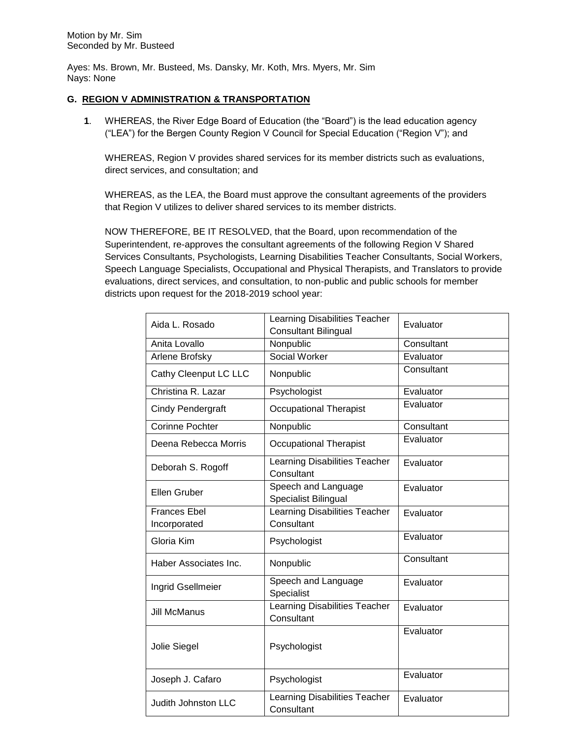Ayes: Ms. Brown, Mr. Busteed, Ms. Dansky, Mr. Koth, Mrs. Myers, Mr. Sim Nays: None

#### **G. REGION V ADMINISTRATION & TRANSPORTATION**

**1**. WHEREAS, the River Edge Board of Education (the "Board") is the lead education agency ("LEA") for the Bergen County Region V Council for Special Education ("Region V"); and

WHEREAS, Region V provides shared services for its member districts such as evaluations, direct services, and consultation; and

WHEREAS, as the LEA, the Board must approve the consultant agreements of the providers that Region V utilizes to deliver shared services to its member districts.

NOW THEREFORE, BE IT RESOLVED, that the Board, upon recommendation of the Superintendent, re-approves the consultant agreements of the following Region V Shared Services Consultants, Psychologists, Learning Disabilities Teacher Consultants, Social Workers, Speech Language Specialists, Occupational and Physical Therapists, and Translators to provide evaluations, direct services, and consultation, to non-public and public schools for member districts upon request for the 2018-2019 school year:

| Aida L. Rosado           | <b>Learning Disabilities Teacher</b>               | Evaluator  |
|--------------------------|----------------------------------------------------|------------|
|                          | <b>Consultant Bilingual</b>                        |            |
| Anita Lovallo            | Nonpublic                                          | Consultant |
| Arlene Brofsky           | Social Worker                                      | Evaluator  |
| Cathy Cleenput LC LLC    | Nonpublic                                          | Consultant |
| Christina R. Lazar       | Psychologist                                       | Evaluator  |
| <b>Cindy Pendergraft</b> | <b>Occupational Therapist</b>                      | Evaluator  |
| <b>Corinne Pochter</b>   | Nonpublic                                          | Consultant |
| Deena Rebecca Morris     | <b>Occupational Therapist</b>                      | Evaluator  |
| Deborah S. Rogoff        | Learning Disabilities Teacher<br>Consultant        | Evaluator  |
| Ellen Gruber             | Speech and Language<br>Specialist Bilingual        | Evaluator  |
| <b>Frances Ebel</b>      | <b>Learning Disabilities Teacher</b>               | Evaluator  |
| Incorporated             | Consultant                                         |            |
| Gloria Kim               | Psychologist                                       | Evaluator  |
| Haber Associates Inc.    | Nonpublic                                          | Consultant |
| Ingrid Gsellmeier        | Speech and Language<br>Specialist                  | Evaluator  |
| <b>Jill McManus</b>      | <b>Learning Disabilities Teacher</b><br>Consultant | Evaluator  |
|                          |                                                    | Evaluator  |
| Jolie Siegel             | Psychologist                                       |            |
| Joseph J. Cafaro         | Psychologist                                       | Evaluator  |
| Judith Johnston LLC      | Learning Disabilities Teacher<br>Consultant        | Evaluator  |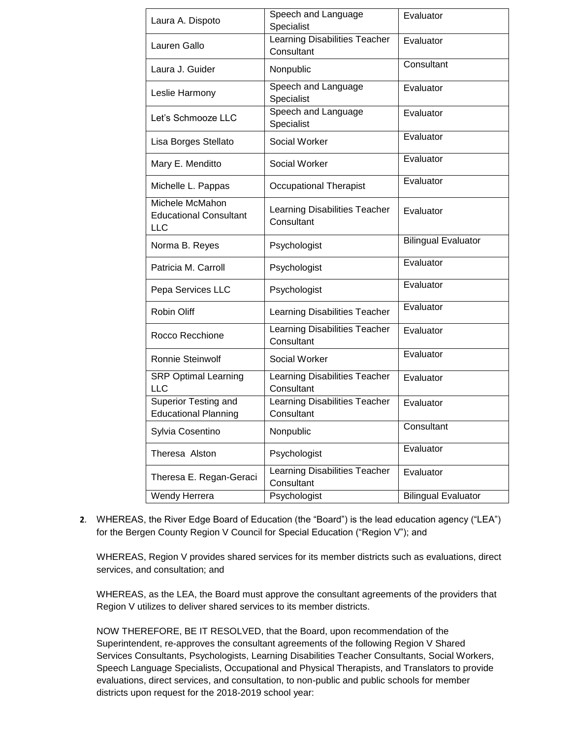| Laura A. Dispoto                                        | Speech and Language<br>Specialist                  | Evaluator                  |
|---------------------------------------------------------|----------------------------------------------------|----------------------------|
| Lauren Gallo                                            | <b>Learning Disabilities Teacher</b><br>Consultant | Evaluator                  |
| Laura J. Guider                                         | Nonpublic                                          | Consultant                 |
| Leslie Harmony                                          | Speech and Language<br>Specialist                  | Evaluator                  |
| Let's Schmooze LLC                                      | Speech and Language<br>Specialist                  | Evaluator                  |
| Lisa Borges Stellato                                    | Social Worker                                      | Evaluator                  |
| Mary E. Menditto                                        | Social Worker                                      | Evaluator                  |
| Michelle L. Pappas                                      | <b>Occupational Therapist</b>                      | Evaluator                  |
| Michele McMahon<br><b>Educational Consultant</b><br>LLC | Learning Disabilities Teacher<br>Consultant        | Evaluator                  |
| Norma B. Reyes                                          | Psychologist                                       | <b>Bilingual Evaluator</b> |
| Patricia M. Carroll                                     | Psychologist                                       | Evaluator                  |
| Pepa Services LLC                                       | Psychologist                                       | Evaluator                  |
| <b>Robin Oliff</b>                                      | Learning Disabilities Teacher                      | Evaluator                  |
| Rocco Recchione                                         | Learning Disabilities Teacher<br>Consultant        | Evaluator                  |
| <b>Ronnie Steinwolf</b>                                 | Social Worker                                      | Evaluator                  |
| <b>SRP Optimal Learning</b><br>LLC                      | Learning Disabilities Teacher<br>Consultant        | Evaluator                  |
| Superior Testing and<br><b>Educational Planning</b>     | Learning Disabilities Teacher<br>Consultant        | Evaluator                  |
| Sylvia Cosentino                                        | Nonpublic                                          | Consultant                 |
| Theresa Alston                                          | Psychologist                                       | Evaluator                  |
| Theresa E. Regan-Geraci                                 | <b>Learning Disabilities Teacher</b><br>Consultant | Evaluator                  |
| Wendy Herrera                                           | Psychologist                                       | <b>Bilingual Evaluator</b> |

**2**. WHEREAS, the River Edge Board of Education (the "Board") is the lead education agency ("LEA") for the Bergen County Region V Council for Special Education ("Region V"); and

WHEREAS, Region V provides shared services for its member districts such as evaluations, direct services, and consultation; and

WHEREAS, as the LEA, the Board must approve the consultant agreements of the providers that Region V utilizes to deliver shared services to its member districts.

NOW THEREFORE, BE IT RESOLVED, that the Board, upon recommendation of the Superintendent, re-approves the consultant agreements of the following Region V Shared Services Consultants, Psychologists, Learning Disabilities Teacher Consultants, Social Workers, Speech Language Specialists, Occupational and Physical Therapists, and Translators to provide evaluations, direct services, and consultation, to non-public and public schools for member districts upon request for the 2018-2019 school year: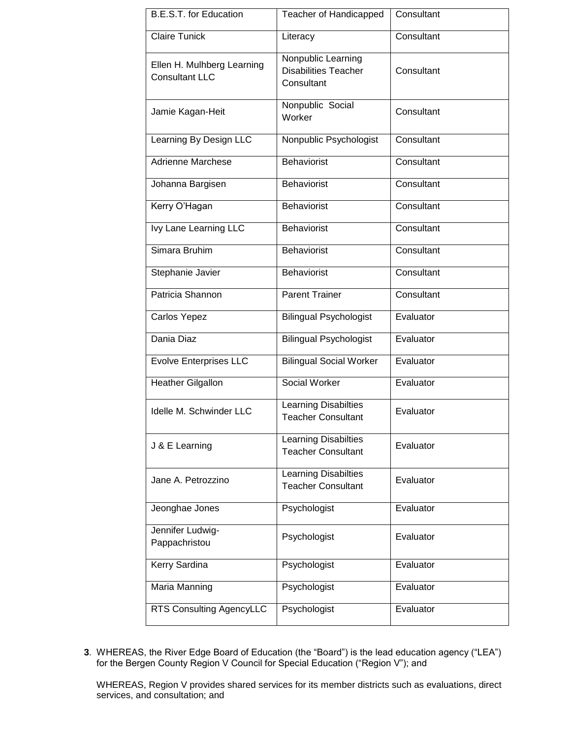| <b>B.E.S.T. for Education</b>                       | <b>Teacher of Handicapped</b>                                   | Consultant |
|-----------------------------------------------------|-----------------------------------------------------------------|------------|
| <b>Claire Tunick</b>                                | Literacy                                                        | Consultant |
| Ellen H. Mulhberg Learning<br><b>Consultant LLC</b> | Nonpublic Learning<br><b>Disabilities Teacher</b><br>Consultant | Consultant |
| Jamie Kagan-Heit                                    | Nonpublic Social<br>Worker                                      | Consultant |
| Learning By Design LLC                              | Nonpublic Psychologist                                          | Consultant |
| <b>Adrienne Marchese</b>                            | <b>Behaviorist</b>                                              | Consultant |
| Johanna Bargisen                                    | <b>Behaviorist</b>                                              | Consultant |
| Kerry O'Hagan                                       | <b>Behaviorist</b>                                              | Consultant |
| Ivy Lane Learning LLC                               | <b>Behaviorist</b>                                              | Consultant |
| Simara Bruhim                                       | <b>Behaviorist</b>                                              | Consultant |
| Stephanie Javier                                    | <b>Behaviorist</b>                                              | Consultant |
| Patricia Shannon                                    | <b>Parent Trainer</b>                                           | Consultant |
| Carlos Yepez                                        | <b>Bilingual Psychologist</b>                                   | Evaluator  |
| Dania Diaz                                          | <b>Bilingual Psychologist</b>                                   | Evaluator  |
| <b>Evolve Enterprises LLC</b>                       | <b>Bilingual Social Worker</b>                                  | Evaluator  |
| <b>Heather Gilgallon</b>                            | Social Worker                                                   | Evaluator  |
| Idelle M. Schwinder LLC                             | Learning Disabilties<br><b>Teacher Consultant</b>               | Evaluator  |
| J & E Learning                                      | <b>Learning Disabilties</b><br><b>Teacher Consultant</b>        | Evaluator  |
| Jane A. Petrozzino                                  | <b>Learning Disabilties</b><br><b>Teacher Consultant</b>        | Evaluator  |
| Jeonghae Jones                                      | Psychologist                                                    | Evaluator  |
| Jennifer Ludwig-<br>Pappachristou                   | Psychologist                                                    | Evaluator  |
| Kerry Sardina                                       | Psychologist                                                    | Evaluator  |
| Maria Manning                                       | Psychologist                                                    | Evaluator  |
| RTS Consulting AgencyLLC                            | Psychologist                                                    | Evaluator  |

**3**. WHEREAS, the River Edge Board of Education (the "Board") is the lead education agency ("LEA") for the Bergen County Region V Council for Special Education ("Region V"); and

WHEREAS, Region V provides shared services for its member districts such as evaluations, direct services, and consultation; and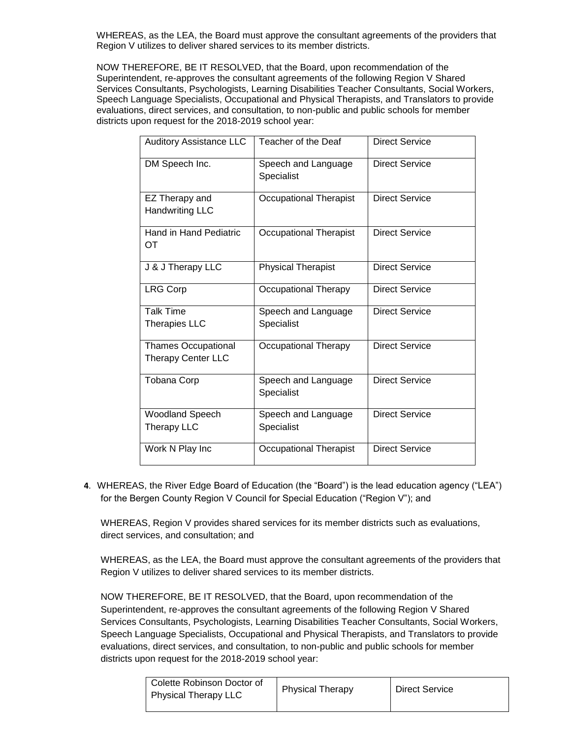WHEREAS, as the LEA, the Board must approve the consultant agreements of the providers that Region V utilizes to deliver shared services to its member districts.

NOW THEREFORE, BE IT RESOLVED, that the Board, upon recommendation of the Superintendent, re-approves the consultant agreements of the following Region V Shared Services Consultants, Psychologists, Learning Disabilities Teacher Consultants, Social Workers, Speech Language Specialists, Occupational and Physical Therapists, and Translators to provide evaluations, direct services, and consultation, to non-public and public schools for member districts upon request for the 2018-2019 school year:

| <b>Auditory Assistance LLC</b>                          | Teacher of the Deaf               | <b>Direct Service</b> |
|---------------------------------------------------------|-----------------------------------|-----------------------|
| DM Speech Inc.                                          | Speech and Language<br>Specialist | <b>Direct Service</b> |
| EZ Therapy and<br><b>Handwriting LLC</b>                | Occupational Therapist            | <b>Direct Service</b> |
| <b>Hand in Hand Pediatric</b><br>ОT                     | <b>Occupational Therapist</b>     | <b>Direct Service</b> |
| J & J Therapy LLC                                       | <b>Physical Therapist</b>         | <b>Direct Service</b> |
| <b>LRG Corp</b>                                         | Occupational Therapy              | <b>Direct Service</b> |
| <b>Talk Time</b><br><b>Therapies LLC</b>                | Speech and Language<br>Specialist | <b>Direct Service</b> |
| <b>Thames Occupational</b><br><b>Therapy Center LLC</b> | Occupational Therapy              | <b>Direct Service</b> |
| <b>Tobana Corp</b>                                      | Speech and Language<br>Specialist | <b>Direct Service</b> |
| Woodland Speech<br>Therapy LLC                          | Speech and Language<br>Specialist | <b>Direct Service</b> |
| Work N Play Inc                                         | Occupational Therapist            | <b>Direct Service</b> |

**4**. WHEREAS, the River Edge Board of Education (the "Board") is the lead education agency ("LEA") for the Bergen County Region V Council for Special Education ("Region V"); and

WHEREAS, Region V provides shared services for its member districts such as evaluations, direct services, and consultation; and

WHEREAS, as the LEA, the Board must approve the consultant agreements of the providers that Region V utilizes to deliver shared services to its member districts.

NOW THEREFORE, BE IT RESOLVED, that the Board, upon recommendation of the Superintendent, re-approves the consultant agreements of the following Region V Shared Services Consultants, Psychologists, Learning Disabilities Teacher Consultants, Social Workers, Speech Language Specialists, Occupational and Physical Therapists, and Translators to provide evaluations, direct services, and consultation, to non-public and public schools for member districts upon request for the 2018-2019 school year:

| l Colette Robinson Doctor of<br>Physical Therapy LLC | <b>Physical Therapy</b> | <b>Direct Service</b> |
|------------------------------------------------------|-------------------------|-----------------------|
|                                                      |                         |                       |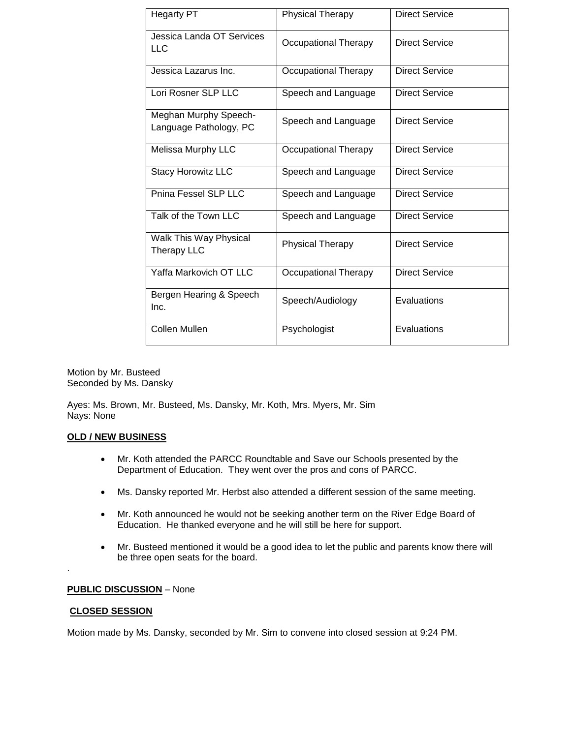| <b>Hegarty PT</b>                               | Physical Therapy            | <b>Direct Service</b> |
|-------------------------------------------------|-----------------------------|-----------------------|
| Jessica Landa OT Services<br>LLC                | <b>Occupational Therapy</b> | Direct Service        |
| Jessica Lazarus Inc.                            | Occupational Therapy        | <b>Direct Service</b> |
| Lori Rosner SLP LLC                             | Speech and Language         | <b>Direct Service</b> |
| Meghan Murphy Speech-<br>Language Pathology, PC | Speech and Language         | Direct Service        |
| Melissa Murphy LLC                              | <b>Occupational Therapy</b> | Direct Service        |
| <b>Stacy Horowitz LLC</b>                       | Speech and Language         | <b>Direct Service</b> |
| Pnina Fessel SLP LLC                            | Speech and Language         | Direct Service        |
| Talk of the Town LLC                            | Speech and Language         | Direct Service        |
| Walk This Way Physical<br><b>Therapy LLC</b>    | <b>Physical Therapy</b>     | <b>Direct Service</b> |
| Yaffa Markovich OT LLC                          | Occupational Therapy        | <b>Direct Service</b> |
| Bergen Hearing & Speech<br>Inc.                 | Speech/Audiology            | Evaluations           |
| <b>Collen Mullen</b>                            | Psychologist                | Evaluations           |

Motion by Mr. Busteed Seconded by Ms. Dansky

Ayes: Ms. Brown, Mr. Busteed, Ms. Dansky, Mr. Koth, Mrs. Myers, Mr. Sim Nays: None

#### **OLD / NEW BUSINESS**

- Mr. Koth attended the PARCC Roundtable and Save our Schools presented by the Department of Education. They went over the pros and cons of PARCC.
- Ms. Dansky reported Mr. Herbst also attended a different session of the same meeting.
- Mr. Koth announced he would not be seeking another term on the River Edge Board of Education. He thanked everyone and he will still be here for support.
- Mr. Busteed mentioned it would be a good idea to let the public and parents know there will be three open seats for the board.

## **PUBLIC DISCUSSION** – None

#### **CLOSED SESSION**

.

Motion made by Ms. Dansky, seconded by Mr. Sim to convene into closed session at 9:24 PM.